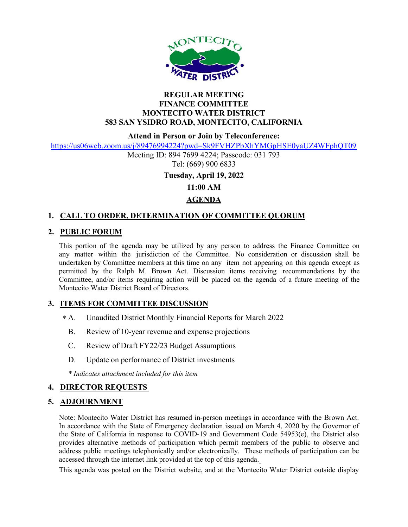

#### REGULAR MEETING FINANCE COMMITTEE MONTECITO WATER DISTRICT 583 SAN YSIDRO ROAD, MONTECITO, CALIFORNIA

Attend in Person or Join by Teleconference:

https://us06web.zoom.us/j/89476994224?pwd=Sk9FVHZPbXhYMGpHSE0yaUZ4WFphQT09

Meeting ID: 894 7699 4224; Passcode: 031 793 Tel: (669) 900 6833

Tuesday, April 19, 2022

11:00 AM

# AGENDA

## 1. CALL TO ORDER, DETERMINATION OF COMMITTEE QUORUM

### 2. PUBLIC FORUM

This portion of the agenda may be utilized by any person to address the Finance Committee on any matter within the jurisdiction of the Committee. No consideration or discussion shall be undertaken by Committee members at this time on any item not appearing on this agenda except as permitted by the Ralph M. Brown Act. Discussion items receiving recommendations by the Committee, and/or items requiring action will be placed on the agenda of a future meeting of the Montecito Water District Board of Directors.

### 3. ITEMS FOR COMMITTEE DISCUSSION

- Unaudited District Monthly Financial Reports for March 2022  $* A.$ 
	- B. Review of 10-year revenue and expense projections
	- C. Review of Draft FY22/23 Budget Assumptions
	- D. Update on performance of District investments

\* Indicates attachment included for this item

### 4. DIRECTOR REQUESTS

### 5. ADJOURNMENT

Note: Montecito Water District has resumed in-person meetings in accordance with the Brown Act. In accordance with the State of Emergency declaration issued on March 4, 2020 by the Governor of the State of California in response to COVID-19 and Government Code 54953(e), the District also provides alternative methods of participation which permit members of the public to observe and address public meetings telephonically and/or electronically. These methods of participation can be accessed through the internet link provided at the top of this agenda.

This agenda was posted on the District website, and at the Montecito Water District outside display